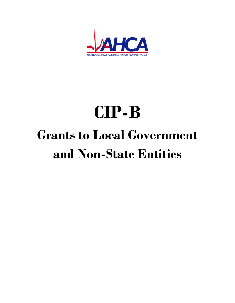

# **CIP-B Grants to Local Government and Non-State Entities**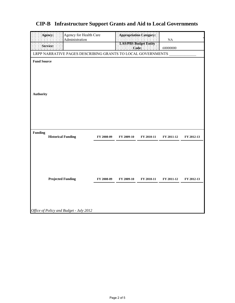|                                                             | Agency for Health Care<br>Agency:       |            |            | .<br>Appropriation Category:          |            |            |  |
|-------------------------------------------------------------|-----------------------------------------|------------|------------|---------------------------------------|------------|------------|--|
|                                                             | Administration                          |            |            |                                       | $\rm NA$   |            |  |
|                                                             | Service:                                |            |            | <b>LAS/PRS Budget Entity</b><br>Code: | 68000000   |            |  |
| LRPP NARRATIVE PAGES DESCRIBING GRANTS TO LOCAL GOVERNMENTS |                                         |            |            |                                       |            |            |  |
| <b>Fund Source</b>                                          |                                         |            |            |                                       |            |            |  |
| <b>Authority</b>                                            |                                         |            |            |                                       |            |            |  |
| <b>Funding</b>                                              | <b>Historical Funding</b>               | FY 2008-09 | FY 2009-10 | FY 2010-11                            | FY 2011-12 | FY 2012-13 |  |
|                                                             | <b>Projected Funding</b>                | FY 2008-09 | FY 2009-10 | FY 2010-11                            | FY 2011-12 | FY 2012-13 |  |
|                                                             | Office of Policy and Budget - July 2012 |            |            |                                       |            |            |  |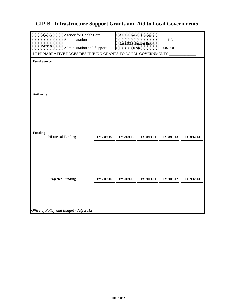| Agency:<br>Agency for Health Care<br>Appropriation Category:<br>Administration<br>NA<br>LAS/PBS Budget Entity<br>Service:<br>Code:<br>Administration and Support<br>음 점이<br>68200000<br>LRPP NARRATIVE PAGES DESCRIBING GRANTS TO LOCAL GOVERNMENTS<br><b>Fund Source</b><br><b>Authority</b><br><b>Funding</b><br><b>Historical Funding</b><br>FY 2008-09<br>FY 2009-10<br>FY 2010-11<br>FY 2011-12<br>FY 2012-13<br><b>Projected Funding</b><br>FY 2008-09<br>FY 2009-10<br>FY 2010-11<br>FY 2011-12<br>FY 2012-13 |  |  |  |  |  |  |  |  |  |
|----------------------------------------------------------------------------------------------------------------------------------------------------------------------------------------------------------------------------------------------------------------------------------------------------------------------------------------------------------------------------------------------------------------------------------------------------------------------------------------------------------------------|--|--|--|--|--|--|--|--|--|
|                                                                                                                                                                                                                                                                                                                                                                                                                                                                                                                      |  |  |  |  |  |  |  |  |  |
|                                                                                                                                                                                                                                                                                                                                                                                                                                                                                                                      |  |  |  |  |  |  |  |  |  |
|                                                                                                                                                                                                                                                                                                                                                                                                                                                                                                                      |  |  |  |  |  |  |  |  |  |
|                                                                                                                                                                                                                                                                                                                                                                                                                                                                                                                      |  |  |  |  |  |  |  |  |  |
|                                                                                                                                                                                                                                                                                                                                                                                                                                                                                                                      |  |  |  |  |  |  |  |  |  |
|                                                                                                                                                                                                                                                                                                                                                                                                                                                                                                                      |  |  |  |  |  |  |  |  |  |
|                                                                                                                                                                                                                                                                                                                                                                                                                                                                                                                      |  |  |  |  |  |  |  |  |  |
|                                                                                                                                                                                                                                                                                                                                                                                                                                                                                                                      |  |  |  |  |  |  |  |  |  |
|                                                                                                                                                                                                                                                                                                                                                                                                                                                                                                                      |  |  |  |  |  |  |  |  |  |
|                                                                                                                                                                                                                                                                                                                                                                                                                                                                                                                      |  |  |  |  |  |  |  |  |  |
|                                                                                                                                                                                                                                                                                                                                                                                                                                                                                                                      |  |  |  |  |  |  |  |  |  |
|                                                                                                                                                                                                                                                                                                                                                                                                                                                                                                                      |  |  |  |  |  |  |  |  |  |
|                                                                                                                                                                                                                                                                                                                                                                                                                                                                                                                      |  |  |  |  |  |  |  |  |  |
|                                                                                                                                                                                                                                                                                                                                                                                                                                                                                                                      |  |  |  |  |  |  |  |  |  |
|                                                                                                                                                                                                                                                                                                                                                                                                                                                                                                                      |  |  |  |  |  |  |  |  |  |
|                                                                                                                                                                                                                                                                                                                                                                                                                                                                                                                      |  |  |  |  |  |  |  |  |  |
|                                                                                                                                                                                                                                                                                                                                                                                                                                                                                                                      |  |  |  |  |  |  |  |  |  |
|                                                                                                                                                                                                                                                                                                                                                                                                                                                                                                                      |  |  |  |  |  |  |  |  |  |
|                                                                                                                                                                                                                                                                                                                                                                                                                                                                                                                      |  |  |  |  |  |  |  |  |  |
|                                                                                                                                                                                                                                                                                                                                                                                                                                                                                                                      |  |  |  |  |  |  |  |  |  |
|                                                                                                                                                                                                                                                                                                                                                                                                                                                                                                                      |  |  |  |  |  |  |  |  |  |
|                                                                                                                                                                                                                                                                                                                                                                                                                                                                                                                      |  |  |  |  |  |  |  |  |  |
|                                                                                                                                                                                                                                                                                                                                                                                                                                                                                                                      |  |  |  |  |  |  |  |  |  |
|                                                                                                                                                                                                                                                                                                                                                                                                                                                                                                                      |  |  |  |  |  |  |  |  |  |
|                                                                                                                                                                                                                                                                                                                                                                                                                                                                                                                      |  |  |  |  |  |  |  |  |  |
|                                                                                                                                                                                                                                                                                                                                                                                                                                                                                                                      |  |  |  |  |  |  |  |  |  |
|                                                                                                                                                                                                                                                                                                                                                                                                                                                                                                                      |  |  |  |  |  |  |  |  |  |
|                                                                                                                                                                                                                                                                                                                                                                                                                                                                                                                      |  |  |  |  |  |  |  |  |  |
|                                                                                                                                                                                                                                                                                                                                                                                                                                                                                                                      |  |  |  |  |  |  |  |  |  |
|                                                                                                                                                                                                                                                                                                                                                                                                                                                                                                                      |  |  |  |  |  |  |  |  |  |
|                                                                                                                                                                                                                                                                                                                                                                                                                                                                                                                      |  |  |  |  |  |  |  |  |  |
|                                                                                                                                                                                                                                                                                                                                                                                                                                                                                                                      |  |  |  |  |  |  |  |  |  |
|                                                                                                                                                                                                                                                                                                                                                                                                                                                                                                                      |  |  |  |  |  |  |  |  |  |
|                                                                                                                                                                                                                                                                                                                                                                                                                                                                                                                      |  |  |  |  |  |  |  |  |  |
|                                                                                                                                                                                                                                                                                                                                                                                                                                                                                                                      |  |  |  |  |  |  |  |  |  |
|                                                                                                                                                                                                                                                                                                                                                                                                                                                                                                                      |  |  |  |  |  |  |  |  |  |
|                                                                                                                                                                                                                                                                                                                                                                                                                                                                                                                      |  |  |  |  |  |  |  |  |  |
|                                                                                                                                                                                                                                                                                                                                                                                                                                                                                                                      |  |  |  |  |  |  |  |  |  |
|                                                                                                                                                                                                                                                                                                                                                                                                                                                                                                                      |  |  |  |  |  |  |  |  |  |
|                                                                                                                                                                                                                                                                                                                                                                                                                                                                                                                      |  |  |  |  |  |  |  |  |  |
|                                                                                                                                                                                                                                                                                                                                                                                                                                                                                                                      |  |  |  |  |  |  |  |  |  |
|                                                                                                                                                                                                                                                                                                                                                                                                                                                                                                                      |  |  |  |  |  |  |  |  |  |
|                                                                                                                                                                                                                                                                                                                                                                                                                                                                                                                      |  |  |  |  |  |  |  |  |  |
|                                                                                                                                                                                                                                                                                                                                                                                                                                                                                                                      |  |  |  |  |  |  |  |  |  |
|                                                                                                                                                                                                                                                                                                                                                                                                                                                                                                                      |  |  |  |  |  |  |  |  |  |
|                                                                                                                                                                                                                                                                                                                                                                                                                                                                                                                      |  |  |  |  |  |  |  |  |  |
| Office of Policy and Budget - July 2012                                                                                                                                                                                                                                                                                                                                                                                                                                                                              |  |  |  |  |  |  |  |  |  |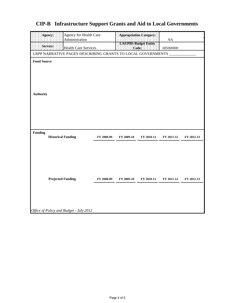|                    | Agency for Health Care<br>Agency:                           |            | Appropriation Category                |            |            |            |  |  |
|--------------------|-------------------------------------------------------------|------------|---------------------------------------|------------|------------|------------|--|--|
|                    | Administration                                              |            |                                       |            | NA         |            |  |  |
|                    | Service:<br><b>Health Care Services</b>                     |            | LAS/PBS Budget Entity<br>Code:<br>를 풀 |            | 685000000  |            |  |  |
|                    | LRPP NARRATIVE PAGES DESCRIBING GRANTS TO LOCAL GOVERNMENTS |            |                                       |            |            |            |  |  |
| <b>Fund Source</b> |                                                             |            |                                       |            |            |            |  |  |
|                    |                                                             |            |                                       |            |            |            |  |  |
|                    |                                                             |            |                                       |            |            |            |  |  |
|                    |                                                             |            |                                       |            |            |            |  |  |
|                    |                                                             |            |                                       |            |            |            |  |  |
| <b>Authority</b>   |                                                             |            |                                       |            |            |            |  |  |
|                    |                                                             |            |                                       |            |            |            |  |  |
|                    |                                                             |            |                                       |            |            |            |  |  |
|                    |                                                             |            |                                       |            |            |            |  |  |
|                    |                                                             |            |                                       |            |            |            |  |  |
|                    |                                                             |            |                                       |            |            |            |  |  |
| <b>Funding</b>     | <b>Historical Funding</b>                                   | FY 2008-09 | FY 2009-10                            | FY 2010-11 | FY 2011-12 | FY 2012-13 |  |  |
|                    |                                                             |            |                                       |            |            |            |  |  |
|                    |                                                             |            |                                       |            |            |            |  |  |
|                    |                                                             |            |                                       |            |            |            |  |  |
|                    |                                                             |            |                                       |            |            |            |  |  |
|                    |                                                             |            |                                       |            |            |            |  |  |
|                    | <b>Projected Funding</b>                                    | FY 2008-09 | FY 2009-10                            | FY 2010-11 | FY 2011-12 | FY 2012-13 |  |  |
|                    |                                                             |            |                                       |            |            |            |  |  |
|                    |                                                             |            |                                       |            |            |            |  |  |
|                    |                                                             |            |                                       |            |            |            |  |  |
|                    |                                                             |            |                                       |            |            |            |  |  |
|                    | Office of Policy and Budget - July 2012                     |            |                                       |            |            |            |  |  |